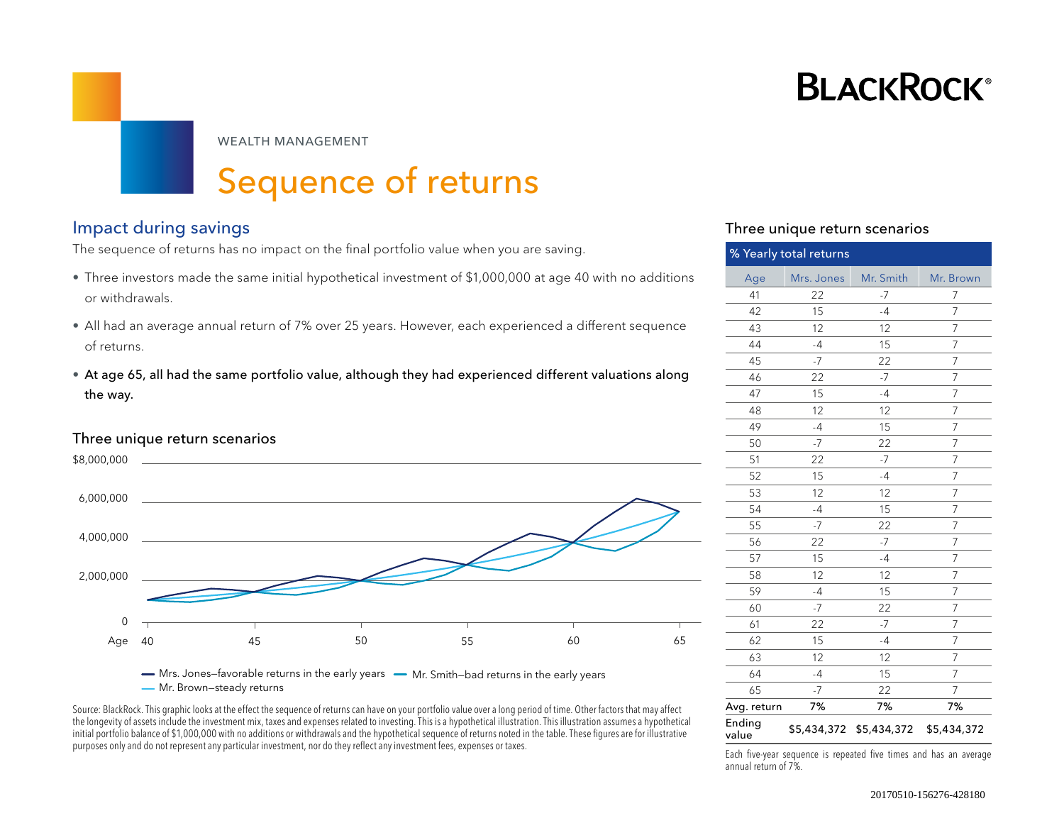# **BLACKROCK**®

WEALTH MANAGEMENT

# Sequence of returns

## Impact during savings Three unique return scenarios

The sequence of returns has no impact on the final portfolio value when you are saving.

- Three investors made the same initial hypothetical investment of \$1,000,000 at age 40 with no additions or withdrawals.
- All had an average annual return of 7% over 25 years. However, each experienced a different sequence of returns.
- At age 65, all had the same portfolio value, although they had experienced different valuations along the way.

### Three unique return scenarios



— Mrs. Jones-favorable returns in the early years — Mr. Smith-bad returns in the early years Mr. Brown—steady returns

Source: BlackRock. This graphic looks at the effect the sequence of returns can have on your portfolio value over a long period of time. Other factors that may affect the longevity of assets include the investment mix, taxes and expenses related to investing. This is a hypothetical illustration. This illustration assumes a hypothetical initial portfolio balance of \$1,000,000 with no additions or withdrawals and the hypothetical sequence of returns noted in the table. These figures are for illustrative purposes only and do not represent any particular investment, nor do they reflect any investment fees, expenses or taxes.<br>
Each five-year sequence is repeated five times and has an average

| % Yearly total returns |            |                         |                |  |
|------------------------|------------|-------------------------|----------------|--|
| Age                    | Mrs. Jones | Mr. Smith               | Mr. Brown      |  |
| 41                     | 22         | -7                      | 7              |  |
| 42                     | 15         | $-4$                    | 7              |  |
| 43                     | 12         | 12                      | $\overline{7}$ |  |
| 44                     | $-4$       | 15                      | 7              |  |
| 45                     | $-7$       | 22                      | 7              |  |
| 46                     | 22         | $-7$                    | 7              |  |
| 47                     | 15         | $-4$                    | 7              |  |
| 48                     | 12         | 12                      | 7              |  |
| 49                     | $-4$       | 15                      | 7              |  |
| 50                     | $-7$       | 22                      | 7              |  |
| 51                     | 22         | $-7$                    | $\overline{7}$ |  |
| 52                     | 15         | $-4$                    | 7              |  |
| 53                     | 12         | 12                      | $\overline{7}$ |  |
| 54                     | $-4$       | 15                      | $\overline{7}$ |  |
| 55                     | $-7$       | 22                      | $\overline{7}$ |  |
| 56                     | 22         | $-7$                    | $\overline{7}$ |  |
| 57                     | 15         | $-4$                    | 7              |  |
| 58                     | 12         | 12                      | 7              |  |
| 59                     | $-4$       | 15                      | 7              |  |
| 60                     | $-7$       | 22                      | $\overline{7}$ |  |
| 61                     | 22         | $-7$                    | 7              |  |
| 62                     | 15         | $-4$                    | 7              |  |
| 63                     | 12         | 12                      | 7              |  |
| 64                     | $-4$       | 15                      | 7              |  |
| 65                     | $-7$       | 22                      | 7              |  |
| Avg. return            | 7%         | 7%                      | 7%             |  |
| Ending<br>value        |            | \$5,434,372 \$5,434,372 | \$5,434,372    |  |

annual return of 7%.